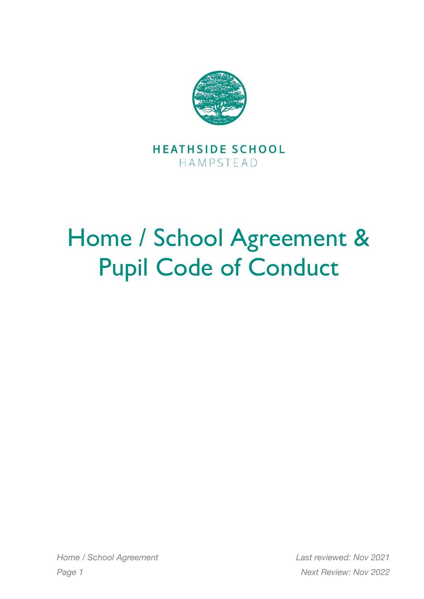

**HEATHSIDE SCHOOL** HAMPSTEAD

## Home / School Agreement & Pupil Code of Conduct

*Home / School Agreement Last reviewed: Nov 2021 Page 1 Next Review: Nov 2022*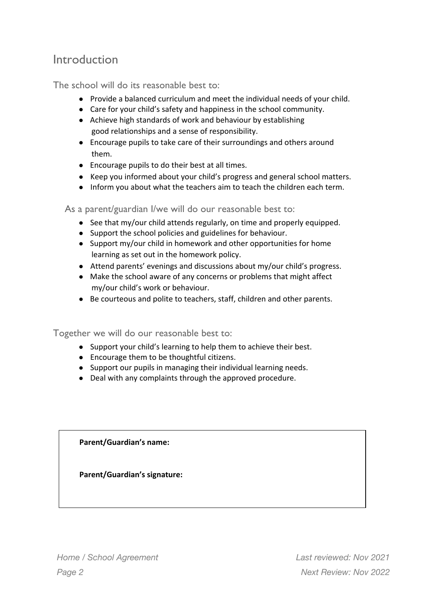## Introduction

The school will do its reasonable best to:

- Provide a balanced curriculum and meet the individual needs of your child.
- Care for your child's safety and happiness in the school community.
- Achieve high standards of work and behaviour by establishing good relationships and a sense of responsibility.
- Encourage pupils to take care of their surroundings and others around them.
- Encourage pupils to do their best at all times.
- Keep you informed about your child's progress and general school matters.
- Inform you about what the teachers aim to teach the children each term.

As a parent/guardian I/we will do our reasonable best to:

- See that my/our child attends regularly, on time and properly equipped.
- Support the school policies and guidelines for behaviour.
- Support my/our child in homework and other opportunities for home learning as set out in the homework policy.
- Attend parents' evenings and discussions about my/our child's progress.
- Make the school aware of any concerns or problems that might affect my/our child's work or behaviour.
- Be courteous and polite to teachers, staff, children and other parents.

Together we will do our reasonable best to:

- Support your child's learning to help them to achieve their best.
- Encourage them to be thoughtful citizens.
- Support our pupils in managing their individual learning needs.
- Deal with any complaints through the approved procedure.

**Parent/Guardian's name:**

**Parent/Guardian's signature:**